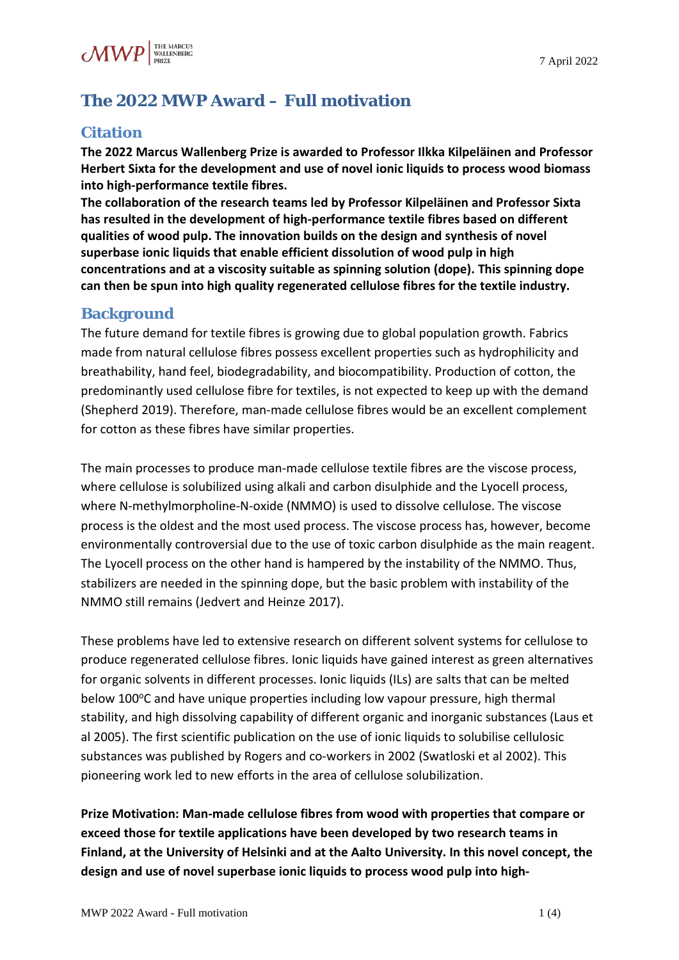# **The 2022 MWP Award – Full motivation**

## **Citation**

**The 2022 Marcus Wallenberg Prize is awarded to Professor Ilkka Kilpeläinen and Professor Herbert Sixta for the development and use of novel ionic liquids to process wood biomass into high-performance textile fibres.**

**The collaboration of the research teams led by Professor Kilpeläinen and Professor Sixta has resulted in the development of high-performance textile fibres based on different qualities of wood pulp. The innovation builds on the design and synthesis of novel superbase ionic liquids that enable efficient dissolution of wood pulp in high concentrations and at a viscosity suitable as spinning solution (dope). This spinning dope can then be spun into high quality regenerated cellulose fibres for the textile industry.**

### **Background**

The future demand for textile fibres is growing due to global population growth. Fabrics made from natural cellulose fibres possess excellent properties such as hydrophilicity and breathability, hand feel, biodegradability, and biocompatibility. Production of cotton, the predominantly used cellulose fibre for textiles, is not expected to keep up with the demand (Shepherd 2019). Therefore, man-made cellulose fibres would be an excellent complement for cotton as these fibres have similar properties.

The main processes to produce man-made cellulose textile fibres are the viscose process, where cellulose is solubilized using alkali and carbon disulphide and the Lyocell process, where N-methylmorpholine-N-oxide (NMMO) is used to dissolve cellulose. The viscose process is the oldest and the most used process. The viscose process has, however, become environmentally controversial due to the use of toxic carbon disulphide as the main reagent. The Lyocell process on the other hand is hampered by the instability of the NMMO. Thus, stabilizers are needed in the spinning dope, but the basic problem with instability of the NMMO still remains (Jedvert and Heinze 2017).

These problems have led to extensive research on different solvent systems for cellulose to produce regenerated cellulose fibres. Ionic liquids have gained interest as green alternatives for organic solvents in different processes. Ionic liquids (ILs) are salts that can be melted below 100°C and have unique properties including low vapour pressure, high thermal stability, and high dissolving capability of different organic and inorganic substances (Laus et al 2005). The first scientific publication on the use of ionic liquids to solubilise cellulosic substances was published by Rogers and co-workers in 2002 (Swatloski et al 2002). This pioneering work led to new efforts in the area of cellulose solubilization.

**Prize Motivation: Man-made cellulose fibres from wood with properties that compare or exceed those for textile applications have been developed by two research teams in Finland, at the University of Helsinki and at the Aalto University. In this novel concept, the design and use of novel superbase ionic liquids to process wood pulp into high-**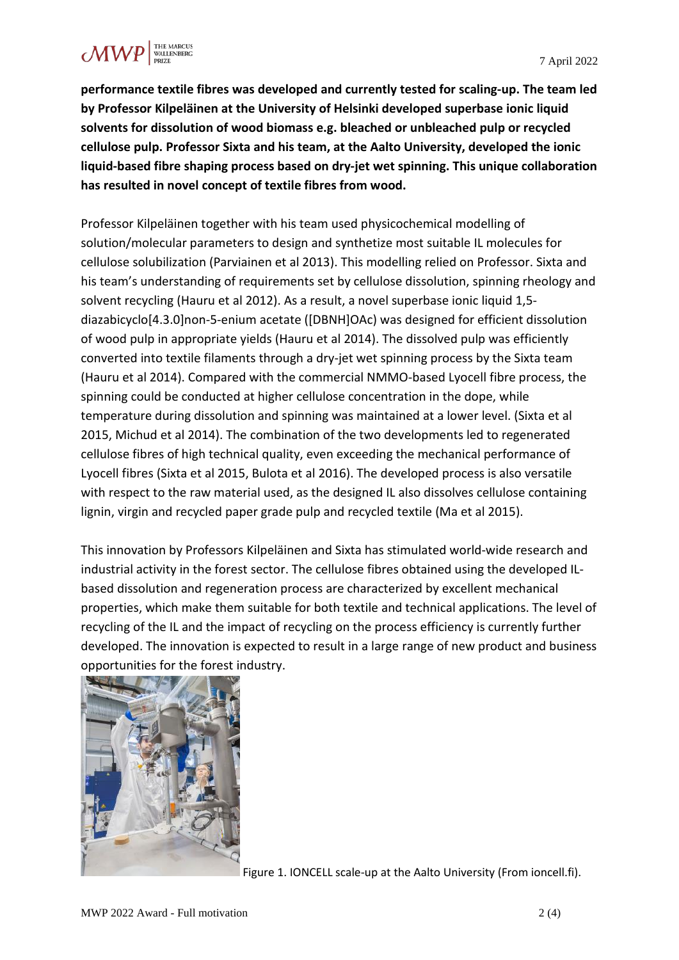

**performance textile fibres was developed and currently tested for scaling-up. The team led by Professor Kilpeläinen at the University of Helsinki developed superbase ionic liquid solvents for dissolution of wood biomass e.g. bleached or unbleached pulp or recycled cellulose pulp. Professor Sixta and his team, at the Aalto University, developed the ionic liquid-based fibre shaping process based on dry-jet wet spinning. This unique collaboration has resulted in novel concept of textile fibres from wood.**

Professor Kilpeläinen together with his team used physicochemical modelling of solution/molecular parameters to design and synthetize most suitable IL molecules for cellulose solubilization (Parviainen et al 2013). This modelling relied on Professor. Sixta and his team's understanding of requirements set by cellulose dissolution, spinning rheology and solvent recycling (Hauru et al 2012). As a result, a novel superbase ionic liquid 1,5 diazabicyclo[4.3.0]non-5-enium acetate ([DBNH]OAc) was designed for efficient dissolution of wood pulp in appropriate yields (Hauru et al 2014). The dissolved pulp was efficiently converted into textile filaments through a dry-jet wet spinning process by the Sixta team (Hauru et al 2014). Compared with the commercial NMMO-based Lyocell fibre process, the spinning could be conducted at higher cellulose concentration in the dope, while temperature during dissolution and spinning was maintained at a lower level. (Sixta et al 2015, Michud et al 2014). The combination of the two developments led to regenerated cellulose fibres of high technical quality, even exceeding the mechanical performance of Lyocell fibres (Sixta et al 2015, Bulota et al 2016). The developed process is also versatile with respect to the raw material used, as the designed IL also dissolves cellulose containing lignin, virgin and recycled paper grade pulp and recycled textile (Ma et al 2015).

This innovation by Professors Kilpeläinen and Sixta has stimulated world-wide research and industrial activity in the forest sector. The cellulose fibres obtained using the developed ILbased dissolution and regeneration process are characterized by excellent mechanical properties, which make them suitable for both textile and technical applications. The level of recycling of the IL and the impact of recycling on the process efficiency is currently further developed. The innovation is expected to result in a large range of new product and business opportunities for the forest industry.



Figure 1. IONCELL scale-up at the Aalto University (From ioncell.fi).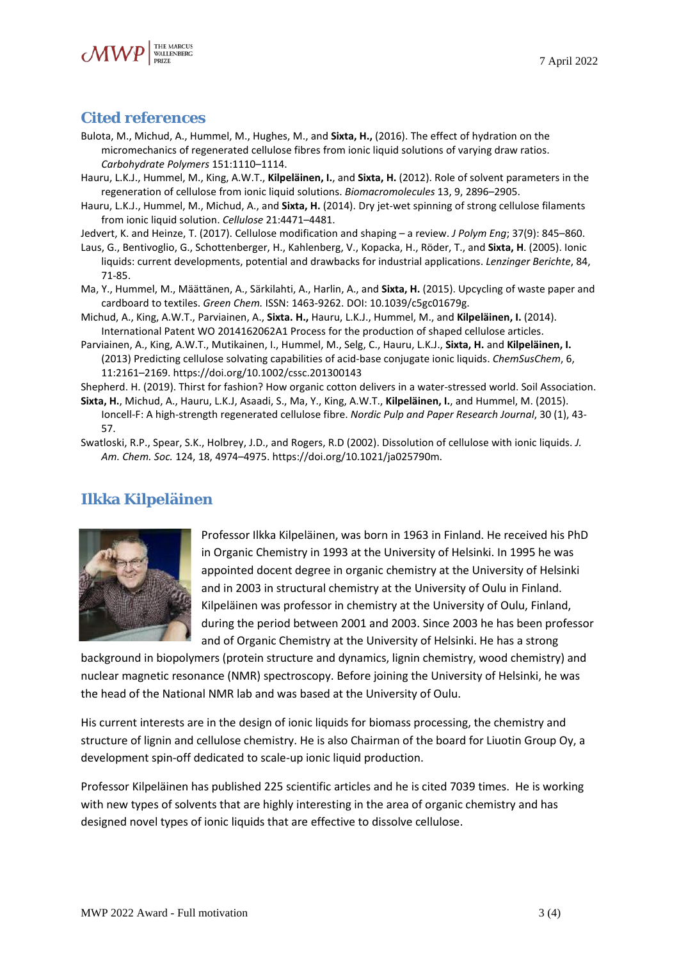

#### **Cited references**

- Bulota, M., Michud, A., Hummel, M., Hughes, M., and **Sixta, H.,** (2016). The effect of hydration on the micromechanics of regenerated cellulose fibres from ionic liquid solutions of varying draw ratios. *Carbohydrate Polymers* 151:1110–1114.
- Hauru, L.K.J., Hummel, M., King, A.W.T., **Kilpeläinen, I.**, and **Sixta, H.** (2012). Role of solvent parameters in the regeneration of cellulose from ionic liquid solutions. *Biomacromolecules* 13, 9, 2896–2905.
- Hauru, L.K.J., Hummel, M., Michud, A., and **Sixta, H.** (2014). Dry jet-wet spinning of strong cellulose filaments from ionic liquid solution. *Cellulose* 21:4471–4481.
- Jedvert, K. and Heinze, T. (2017). Cellulose modification and shaping a review. *J Polym Eng*; 37(9): 845–860.
- Laus, G., Bentivoglio, G., Schottenberger, H., Kahlenberg, V., Kopacka, H., Röder, T., and **Sixta, H**. (2005). Ionic liquids: current developments, potential and drawbacks for industrial applications. *Lenzinger Berichte*, 84, 71-85.
- Ma, Y., Hummel, M., Määttänen, A., Särkilahti, A., Harlin, A., and **Sixta, H.** (2015). Upcycling of waste paper and cardboard to textiles. *Green Chem.* ISSN: 1463-9262. DOI: 10.1039/c5gc01679g.
- Michud, A., King, A.W.T., Parviainen, A., **Sixta. H.,** Hauru, L.K.J., Hummel, M., and **Kilpeläinen, I.** (2014). International Patent WO 2014162062A1 Process for the production of shaped cellulose articles.
- Parviainen, A., King, A.W.T., Mutikainen, I., Hummel, M., Selg, C., Hauru, L.K.J., **Sixta, H.** and **Kilpeläinen, I.** (2013) Predicting cellulose solvating capabilities of acid-base conjugate ionic liquids. *ChemSusChem*, 6, 11:2161–2169. https://doi.org/10.1002/cssc.201300143

Shepherd. H. (2019). [Thirst for fashion? How organic cotton delivers in a water-stressed world.](https://www.soilassociation.org/media/19674/thirsty-for-fashion-soil-association-report.pdf) Soil Association.

- **Sixta, H.**, Michud, A., Hauru, L.K.J, Asaadi, S., Ma, Y., King, A.W.T., **Kilpeläinen, I.**, and Hummel, M. (2015). Ioncell-F: A high-strength regenerated cellulose fibre. *Nordic Pulp and Paper Research Journal*, 30 (1), 43- 57.
- [Swatloski,](https://pubs.acs.org/action/doSearch?field1=Contrib&text1=Richard+P.++Swatloski) R.P., [Spear,](https://pubs.acs.org/action/doSearch?field1=Contrib&text1=Scott+K.++Spear) S.K., [Holbrey,](https://pubs.acs.org/action/doSearch?field1=Contrib&text1=John+D.++Holbrey) J.D., and [Rogers,](https://pubs.acs.org/action/doSearch?field1=Contrib&text1=Robin+D.++Rogers) R.D (2002). Dissolution of cellulose with ionic liquids. *J. Am. Chem. Soc.* 124, 18, 4974–4975. [https://doi.org/10.1021/ja025790m.](https://doi.org/10.1021/ja025790m)

## **Ilkka Kilpeläinen**



Professor Ilkka Kilpeläinen, was born in 1963 in Finland. He received his PhD in Organic Chemistry in 1993 at the University of Helsinki. In 1995 he was appointed docent degree in organic chemistry at the University of Helsinki and in 2003 in structural chemistry at the University of Oulu in Finland. Kilpeläinen was professor in chemistry at the University of Oulu, Finland, during the period between 2001 and 2003. Since 2003 he has been professor and of Organic Chemistry at the University of Helsinki. He has a strong

background in biopolymers (protein structure and dynamics, lignin chemistry, wood chemistry) and nuclear magnetic resonance (NMR) spectroscopy. Before joining the University of Helsinki, he was the head of the National NMR lab and was based at the University of Oulu.

His current interests are in the design of ionic liquids for biomass processing, the chemistry and structure of lignin and cellulose chemistry. He is also Chairman of the board for Liuotin Group Oy, a development spin-off dedicated to scale-up ionic liquid production.

Professor Kilpeläinen has published 225 scientific articles and he is cited 7039 times. He is working with new types of solvents that are highly interesting in the area of organic chemistry and has designed novel types of ionic liquids that are effective to dissolve cellulose.